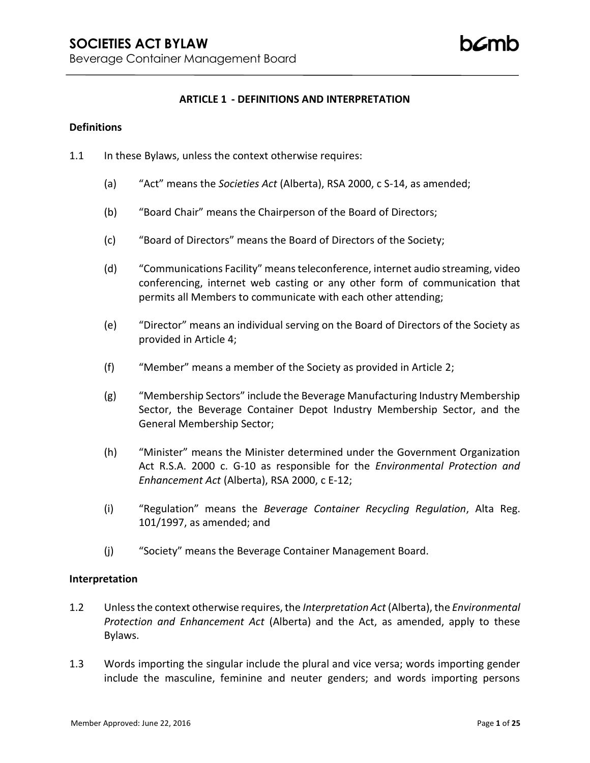### **ARTICLE 1 - DEFINITIONS AND INTERPRETATION**

### **Definitions**

- 1.1 In these Bylaws, unless the context otherwise requires:
	- (a) "Act" means the *Societies Act* (Alberta), RSA 2000, c S-14, as amended;
	- (b) "Board Chair" means the Chairperson of the Board of Directors;
	- (c) "Board of Directors" means the Board of Directors of the Society;
	- (d) "Communications Facility" means teleconference, internet audio streaming, video conferencing, internet web casting or any other form of communication that permits all Members to communicate with each other attending;
	- (e) "Director" means an individual serving on the Board of Directors of the Society as provided in Article 4;
	- (f) "Member" means a member of the Society as provided in Article 2;
	- (g) "Membership Sectors" include the Beverage Manufacturing Industry Membership Sector, the Beverage Container Depot Industry Membership Sector, and the General Membership Sector;
	- (h) "Minister" means the Minister determined under the Government Organization Act R.S.A. 2000 c. G-10 as responsible for the *Environmental Protection and Enhancement Act* (Alberta), RSA 2000, c E-12;
	- (i) "Regulation" means the *Beverage Container Recycling Regulation*, Alta Reg. 101/1997, as amended; and
	- (j) "Society" means the Beverage Container Management Board.

### **Interpretation**

- 1.2 Unless the context otherwise requires, the *Interpretation Act* (Alberta), the *Environmental Protection and Enhancement Act* (Alberta) and the Act, as amended, apply to these Bylaws.
- 1.3 Words importing the singular include the plural and vice versa; words importing gender include the masculine, feminine and neuter genders; and words importing persons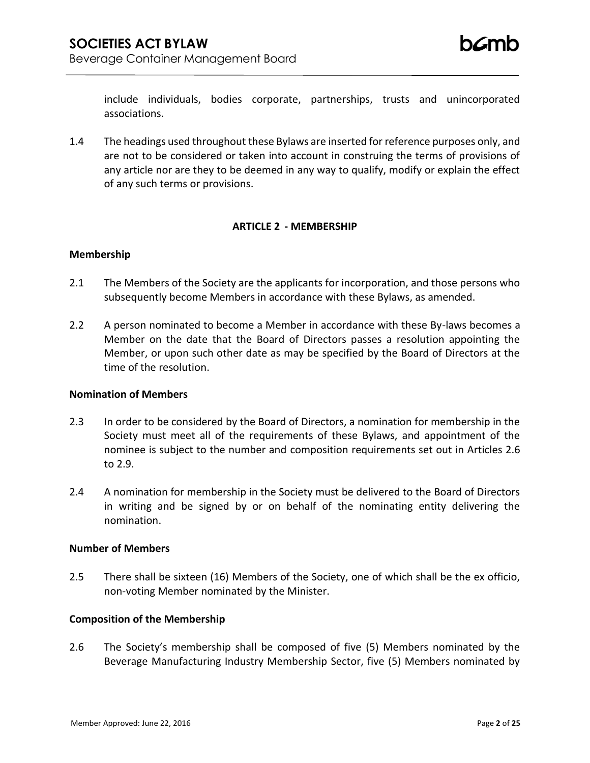include individuals, bodies corporate, partnerships, trusts and unincorporated associations.

1.4 The headings used throughout these Bylaws are inserted for reference purposes only, and are not to be considered or taken into account in construing the terms of provisions of any article nor are they to be deemed in any way to qualify, modify or explain the effect of any such terms or provisions.

## **ARTICLE 2 - MEMBERSHIP**

### **Membership**

- 2.1 The Members of the Society are the applicants for incorporation, and those persons who subsequently become Members in accordance with these Bylaws, as amended.
- 2.2 A person nominated to become a Member in accordance with these By-laws becomes a Member on the date that the Board of Directors passes a resolution appointing the Member, or upon such other date as may be specified by the Board of Directors at the time of the resolution.

### **Nomination of Members**

- 2.3 In order to be considered by the Board of Directors, a nomination for membership in the Society must meet all of the requirements of these Bylaws, and appointment of the nominee is subject to the number and composition requirements set out in Articles 2.6 to 2.9.
- 2.4 A nomination for membership in the Society must be delivered to the Board of Directors in writing and be signed by or on behalf of the nominating entity delivering the nomination.

### **Number of Members**

2.5 There shall be sixteen (16) Members of the Society, one of which shall be the ex officio, non-voting Member nominated by the Minister.

# **Composition of the Membership**

2.6 The Society's membership shall be composed of five (5) Members nominated by the Beverage Manufacturing Industry Membership Sector, five (5) Members nominated by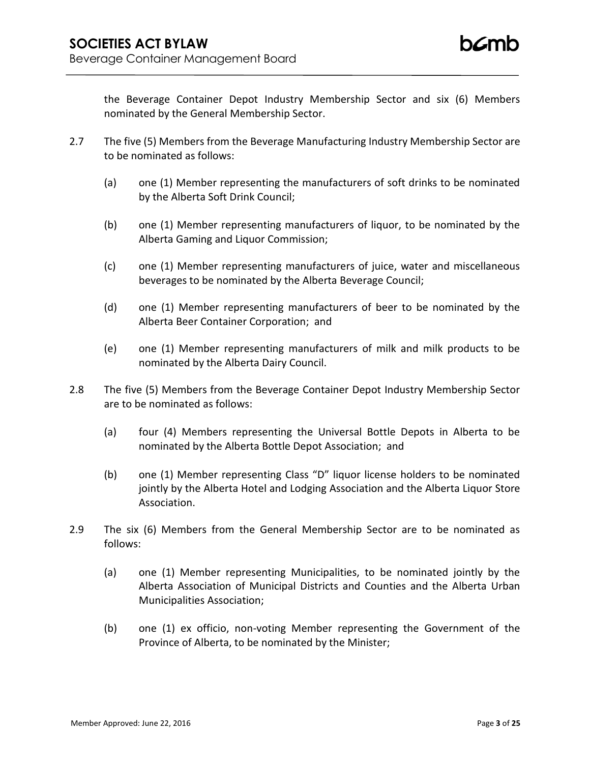the Beverage Container Depot Industry Membership Sector and six (6) Members nominated by the General Membership Sector.

- 2.7 The five (5) Members from the Beverage Manufacturing Industry Membership Sector are to be nominated as follows:
	- (a) one (1) Member representing the manufacturers of soft drinks to be nominated by the Alberta Soft Drink Council;
	- (b) one (1) Member representing manufacturers of liquor, to be nominated by the Alberta Gaming and Liquor Commission;
	- (c) one (1) Member representing manufacturers of juice, water and miscellaneous beverages to be nominated by the Alberta Beverage Council;
	- (d) one (1) Member representing manufacturers of beer to be nominated by the Alberta Beer Container Corporation; and
	- (e) one (1) Member representing manufacturers of milk and milk products to be nominated by the Alberta Dairy Council.
- 2.8 The five (5) Members from the Beverage Container Depot Industry Membership Sector are to be nominated as follows:
	- (a) four (4) Members representing the Universal Bottle Depots in Alberta to be nominated by the Alberta Bottle Depot Association; and
	- (b) one (1) Member representing Class "D" liquor license holders to be nominated jointly by the Alberta Hotel and Lodging Association and the Alberta Liquor Store Association.
- 2.9 The six (6) Members from the General Membership Sector are to be nominated as follows:
	- (a) one (1) Member representing Municipalities, to be nominated jointly by the Alberta Association of Municipal Districts and Counties and the Alberta Urban Municipalities Association;
	- (b) one (1) ex officio, non-voting Member representing the Government of the Province of Alberta, to be nominated by the Minister;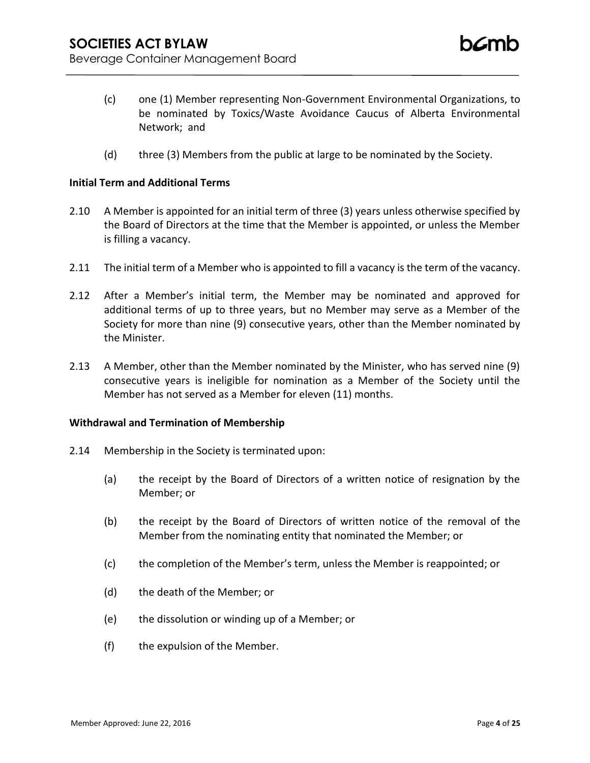- (c) one (1) Member representing Non-Government Environmental Organizations, to be nominated by Toxics/Waste Avoidance Caucus of Alberta Environmental Network; and
- (d) three (3) Members from the public at large to be nominated by the Society.

### **Initial Term and Additional Terms**

- 2.10 A Member is appointed for an initial term of three (3) years unless otherwise specified by the Board of Directors at the time that the Member is appointed, or unless the Member is filling a vacancy.
- 2.11 The initial term of a Member who is appointed to fill a vacancy is the term of the vacancy.
- 2.12 After a Member's initial term, the Member may be nominated and approved for additional terms of up to three years, but no Member may serve as a Member of the Society for more than nine (9) consecutive years, other than the Member nominated by the Minister.
- 2.13 A Member, other than the Member nominated by the Minister, who has served nine (9) consecutive years is ineligible for nomination as a Member of the Society until the Member has not served as a Member for eleven (11) months.

#### **Withdrawal and Termination of Membership**

- 2.14 Membership in the Society is terminated upon:
	- (a) the receipt by the Board of Directors of a written notice of resignation by the Member; or
	- (b) the receipt by the Board of Directors of written notice of the removal of the Member from the nominating entity that nominated the Member; or
	- (c) the completion of the Member's term, unless the Member is reappointed; or
	- (d) the death of the Member; or
	- (e) the dissolution or winding up of a Member; or
	- (f) the expulsion of the Member.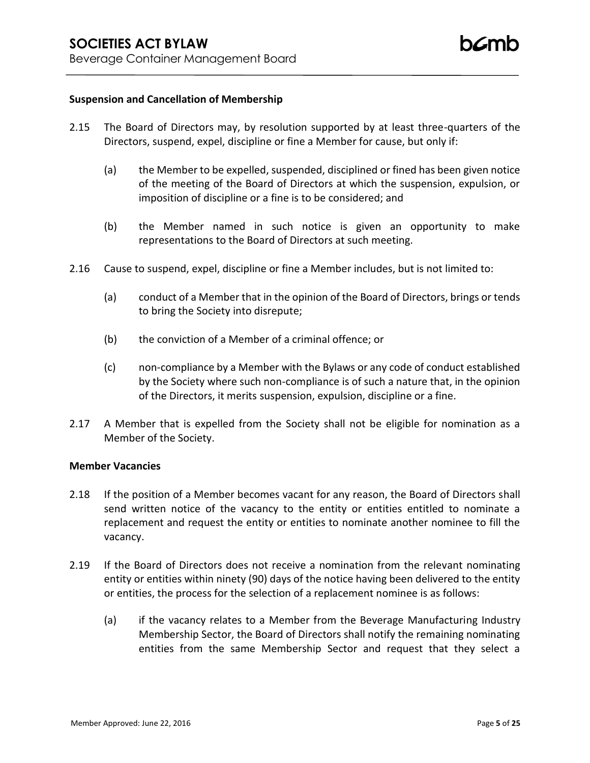### **Suspension and Cancellation of Membership**

- 2.15 The Board of Directors may, by resolution supported by at least three-quarters of the Directors, suspend, expel, discipline or fine a Member for cause, but only if:
	- (a) the Member to be expelled, suspended, disciplined or fined has been given notice of the meeting of the Board of Directors at which the suspension, expulsion, or imposition of discipline or a fine is to be considered; and
	- (b) the Member named in such notice is given an opportunity to make representations to the Board of Directors at such meeting.
- 2.16 Cause to suspend, expel, discipline or fine a Member includes, but is not limited to:
	- (a) conduct of a Member that in the opinion of the Board of Directors, brings or tends to bring the Society into disrepute;
	- (b) the conviction of a Member of a criminal offence; or
	- (c) non-compliance by a Member with the Bylaws or any code of conduct established by the Society where such non-compliance is of such a nature that, in the opinion of the Directors, it merits suspension, expulsion, discipline or a fine.
- 2.17 A Member that is expelled from the Society shall not be eligible for nomination as a Member of the Society.

### **Member Vacancies**

- 2.18 If the position of a Member becomes vacant for any reason, the Board of Directors shall send written notice of the vacancy to the entity or entities entitled to nominate a replacement and request the entity or entities to nominate another nominee to fill the vacancy.
- 2.19 If the Board of Directors does not receive a nomination from the relevant nominating entity or entities within ninety (90) days of the notice having been delivered to the entity or entities, the process for the selection of a replacement nominee is as follows:
	- (a) if the vacancy relates to a Member from the Beverage Manufacturing Industry Membership Sector, the Board of Directors shall notify the remaining nominating entities from the same Membership Sector and request that they select a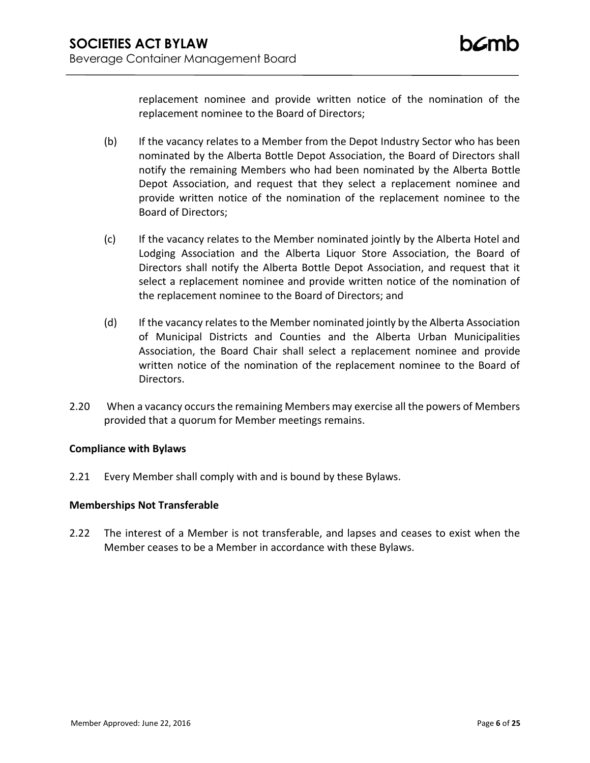replacement nominee and provide written notice of the nomination of the replacement nominee to the Board of Directors;

- (b) If the vacancy relates to a Member from the Depot Industry Sector who has been nominated by the Alberta Bottle Depot Association, the Board of Directors shall notify the remaining Members who had been nominated by the Alberta Bottle Depot Association, and request that they select a replacement nominee and provide written notice of the nomination of the replacement nominee to the Board of Directors;
- (c) If the vacancy relates to the Member nominated jointly by the Alberta Hotel and Lodging Association and the Alberta Liquor Store Association, the Board of Directors shall notify the Alberta Bottle Depot Association, and request that it select a replacement nominee and provide written notice of the nomination of the replacement nominee to the Board of Directors; and
- (d) If the vacancy relates to the Member nominated jointly by the Alberta Association of Municipal Districts and Counties and the Alberta Urban Municipalities Association, the Board Chair shall select a replacement nominee and provide written notice of the nomination of the replacement nominee to the Board of Directors.
- 2.20 When a vacancy occurs the remaining Members may exercise all the powers of Members provided that a quorum for Member meetings remains.

# **Compliance with Bylaws**

2.21 Every Member shall comply with and is bound by these Bylaws.

### **Memberships Not Transferable**

2.22 The interest of a Member is not transferable, and lapses and ceases to exist when the Member ceases to be a Member in accordance with these Bylaws.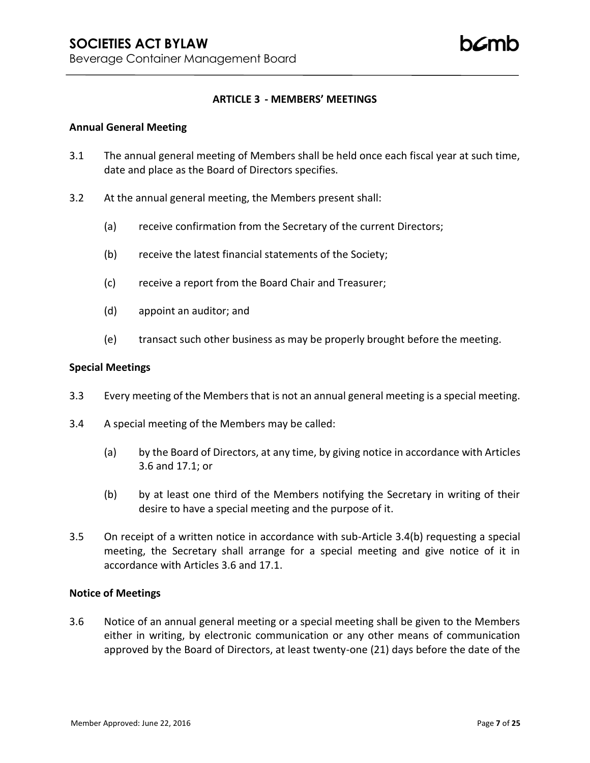## **ARTICLE 3 - MEMBERS' MEETINGS**

#### **Annual General Meeting**

- 3.1 The annual general meeting of Members shall be held once each fiscal year at such time, date and place as the Board of Directors specifies.
- 3.2 At the annual general meeting, the Members present shall:
	- (a) receive confirmation from the Secretary of the current Directors;
	- (b) receive the latest financial statements of the Society;
	- (c) receive a report from the Board Chair and Treasurer;
	- (d) appoint an auditor; and
	- (e) transact such other business as may be properly brought before the meeting.

#### **Special Meetings**

- 3.3 Every meeting of the Members that is not an annual general meeting is a special meeting.
- 3.4 A special meeting of the Members may be called:
	- (a) by the Board of Directors, at any time, by giving notice in accordance with Articles 3.6 and 17.1; or
	- (b) by at least one third of the Members notifying the Secretary in writing of their desire to have a special meeting and the purpose of it.
- 3.5 On receipt of a written notice in accordance with sub-Article 3.4(b) requesting a special meeting, the Secretary shall arrange for a special meeting and give notice of it in accordance with Articles 3.6 and 17.1.

### **Notice of Meetings**

3.6 Notice of an annual general meeting or a special meeting shall be given to the Members either in writing, by electronic communication or any other means of communication approved by the Board of Directors, at least twenty-one (21) days before the date of the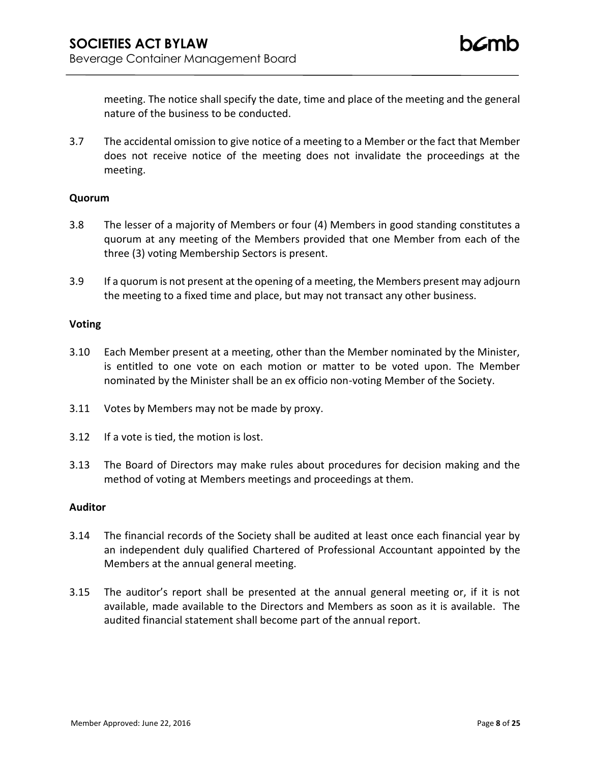meeting. The notice shall specify the date, time and place of the meeting and the general nature of the business to be conducted.

3.7 The accidental omission to give notice of a meeting to a Member or the fact that Member does not receive notice of the meeting does not invalidate the proceedings at the meeting.

## **Quorum**

- 3.8 The lesser of a majority of Members or four (4) Members in good standing constitutes a quorum at any meeting of the Members provided that one Member from each of the three (3) voting Membership Sectors is present.
- 3.9 If a quorum is not present at the opening of a meeting, the Members present may adjourn the meeting to a fixed time and place, but may not transact any other business.

## **Voting**

- 3.10 Each Member present at a meeting, other than the Member nominated by the Minister, is entitled to one vote on each motion or matter to be voted upon. The Member nominated by the Minister shall be an ex officio non-voting Member of the Society.
- 3.11 Votes by Members may not be made by proxy.
- 3.12 If a vote is tied, the motion is lost.
- 3.13 The Board of Directors may make rules about procedures for decision making and the method of voting at Members meetings and proceedings at them.

### **Auditor**

- 3.14 The financial records of the Society shall be audited at least once each financial year by an independent duly qualified Chartered of Professional Accountant appointed by the Members at the annual general meeting.
- 3.15 The auditor's report shall be presented at the annual general meeting or, if it is not available, made available to the Directors and Members as soon as it is available. The audited financial statement shall become part of the annual report.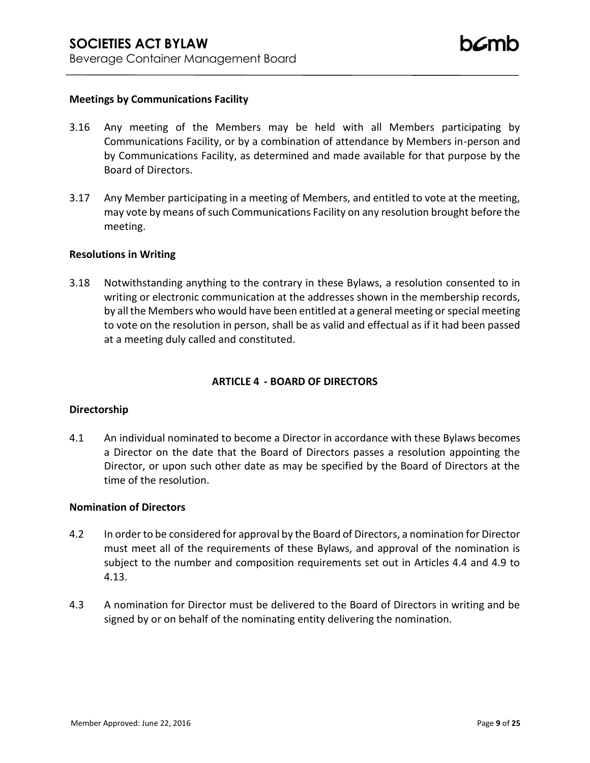### **Meetings by Communications Facility**

- 3.16 Any meeting of the Members may be held with all Members participating by Communications Facility, or by a combination of attendance by Members in-person and by Communications Facility, as determined and made available for that purpose by the Board of Directors.
- 3.17 Any Member participating in a meeting of Members, and entitled to vote at the meeting, may vote by means of such Communications Facility on any resolution brought before the meeting.

### **Resolutions in Writing**

3.18 Notwithstanding anything to the contrary in these Bylaws, a resolution consented to in writing or electronic communication at the addresses shown in the membership records, by all the Members who would have been entitled at a general meeting or special meeting to vote on the resolution in person, shall be as valid and effectual as if it had been passed at a meeting duly called and constituted.

# **ARTICLE 4 - BOARD OF DIRECTORS**

### **Directorship**

4.1 An individual nominated to become a Director in accordance with these Bylaws becomes a Director on the date that the Board of Directors passes a resolution appointing the Director, or upon such other date as may be specified by the Board of Directors at the time of the resolution.

### **Nomination of Directors**

- 4.2 In order to be considered for approval by the Board of Directors, a nomination for Director must meet all of the requirements of these Bylaws, and approval of the nomination is subject to the number and composition requirements set out in Articles 4.4 and 4.9 to 4.13.
- 4.3 A nomination for Director must be delivered to the Board of Directors in writing and be signed by or on behalf of the nominating entity delivering the nomination.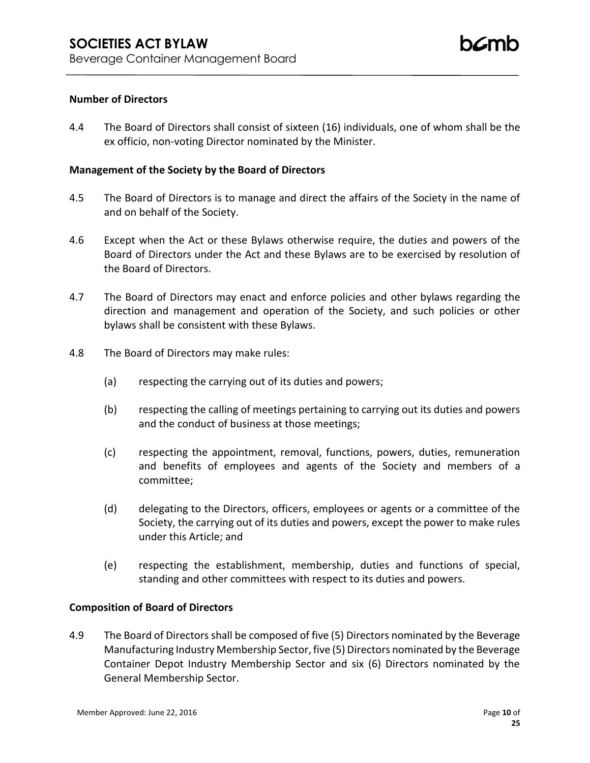## **Number of Directors**

4.4 The Board of Directors shall consist of sixteen (16) individuals, one of whom shall be the ex officio, non-voting Director nominated by the Minister.

## **Management of the Society by the Board of Directors**

- 4.5 The Board of Directors is to manage and direct the affairs of the Society in the name of and on behalf of the Society.
- 4.6 Except when the Act or these Bylaws otherwise require, the duties and powers of the Board of Directors under the Act and these Bylaws are to be exercised by resolution of the Board of Directors.
- 4.7 The Board of Directors may enact and enforce policies and other bylaws regarding the direction and management and operation of the Society, and such policies or other bylaws shall be consistent with these Bylaws.
- 4.8 The Board of Directors may make rules:
	- (a) respecting the carrying out of its duties and powers;
	- (b) respecting the calling of meetings pertaining to carrying out its duties and powers and the conduct of business at those meetings;
	- (c) respecting the appointment, removal, functions, powers, duties, remuneration and benefits of employees and agents of the Society and members of a committee;
	- (d) delegating to the Directors, officers, employees or agents or a committee of the Society, the carrying out of its duties and powers, except the power to make rules under this Article; and
	- (e) respecting the establishment, membership, duties and functions of special, standing and other committees with respect to its duties and powers.

### **Composition of Board of Directors**

4.9 The Board of Directors shall be composed of five (5) Directors nominated by the Beverage Manufacturing Industry Membership Sector, five (5) Directors nominated by the Beverage Container Depot Industry Membership Sector and six (6) Directors nominated by the General Membership Sector.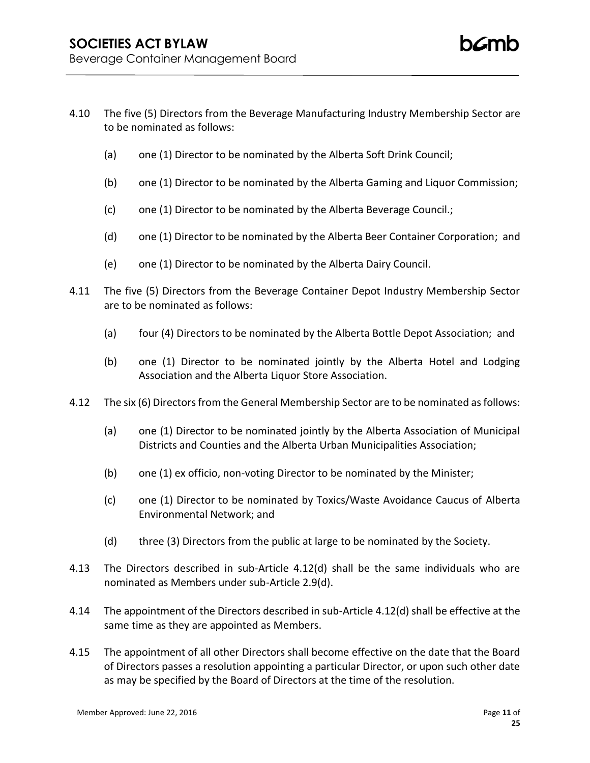- 4.10 The five (5) Directors from the Beverage Manufacturing Industry Membership Sector are to be nominated as follows:
	- (a) one (1) Director to be nominated by the Alberta Soft Drink Council;
	- (b) one (1) Director to be nominated by the Alberta Gaming and Liquor Commission;
	- (c) one (1) Director to be nominated by the Alberta Beverage Council.;
	- (d) one (1) Director to be nominated by the Alberta Beer Container Corporation; and
	- (e) one (1) Director to be nominated by the Alberta Dairy Council.
- 4.11 The five (5) Directors from the Beverage Container Depot Industry Membership Sector are to be nominated as follows:
	- (a) four (4) Directors to be nominated by the Alberta Bottle Depot Association; and
	- (b) one (1) Director to be nominated jointly by the Alberta Hotel and Lodging Association and the Alberta Liquor Store Association.
- 4.12 The six (6) Directors from the General Membership Sector are to be nominated as follows:
	- (a) one (1) Director to be nominated jointly by the Alberta Association of Municipal Districts and Counties and the Alberta Urban Municipalities Association;
	- (b) one (1) ex officio, non-voting Director to be nominated by the Minister;
	- (c) one (1) Director to be nominated by Toxics/Waste Avoidance Caucus of Alberta Environmental Network; and
	- (d) three (3) Directors from the public at large to be nominated by the Society.
- 4.13 The Directors described in sub-Article 4.12(d) shall be the same individuals who are nominated as Members under sub-Article 2.9(d).
- 4.14 The appointment of the Directors described in sub-Article 4.12(d) shall be effective at the same time as they are appointed as Members.
- 4.15 The appointment of all other Directors shall become effective on the date that the Board of Directors passes a resolution appointing a particular Director, or upon such other date as may be specified by the Board of Directors at the time of the resolution.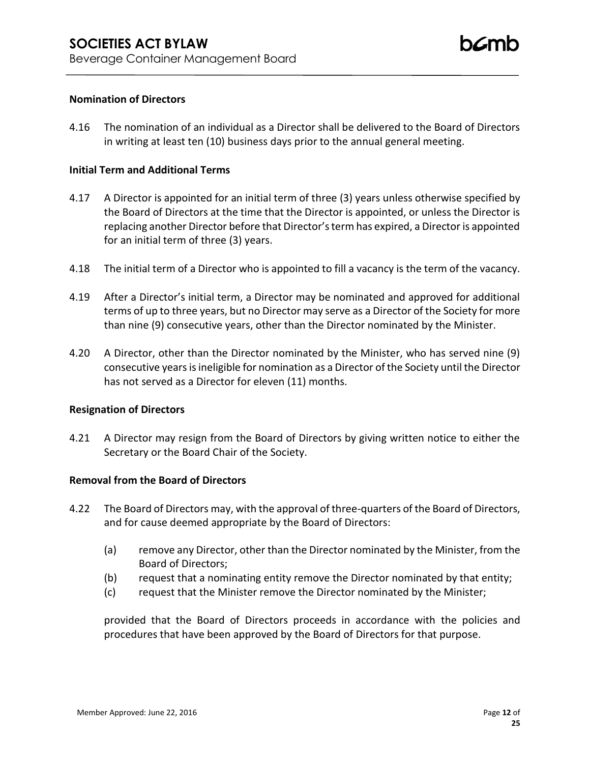## **Nomination of Directors**

4.16 The nomination of an individual as a Director shall be delivered to the Board of Directors in writing at least ten (10) business days prior to the annual general meeting.

## **Initial Term and Additional Terms**

- 4.17 A Director is appointed for an initial term of three (3) years unless otherwise specified by the Board of Directors at the time that the Director is appointed, or unless the Director is replacing another Director before that Director's term has expired, a Director is appointed for an initial term of three (3) years.
- 4.18 The initial term of a Director who is appointed to fill a vacancy is the term of the vacancy.
- 4.19 After a Director's initial term, a Director may be nominated and approved for additional terms of up to three years, but no Director may serve as a Director of the Society for more than nine (9) consecutive years, other than the Director nominated by the Minister.
- 4.20 A Director, other than the Director nominated by the Minister, who has served nine (9) consecutive years is ineligible for nomination as a Director of the Society until the Director has not served as a Director for eleven (11) months.

### **Resignation of Directors**

4.21 A Director may resign from the Board of Directors by giving written notice to either the Secretary or the Board Chair of the Society.

### **Removal from the Board of Directors**

- 4.22 The Board of Directors may, with the approval of three-quarters of the Board of Directors, and for cause deemed appropriate by the Board of Directors:
	- (a) remove any Director, other than the Director nominated by the Minister, from the Board of Directors;
	- (b) request that a nominating entity remove the Director nominated by that entity;
	- (c) request that the Minister remove the Director nominated by the Minister;

provided that the Board of Directors proceeds in accordance with the policies and procedures that have been approved by the Board of Directors for that purpose.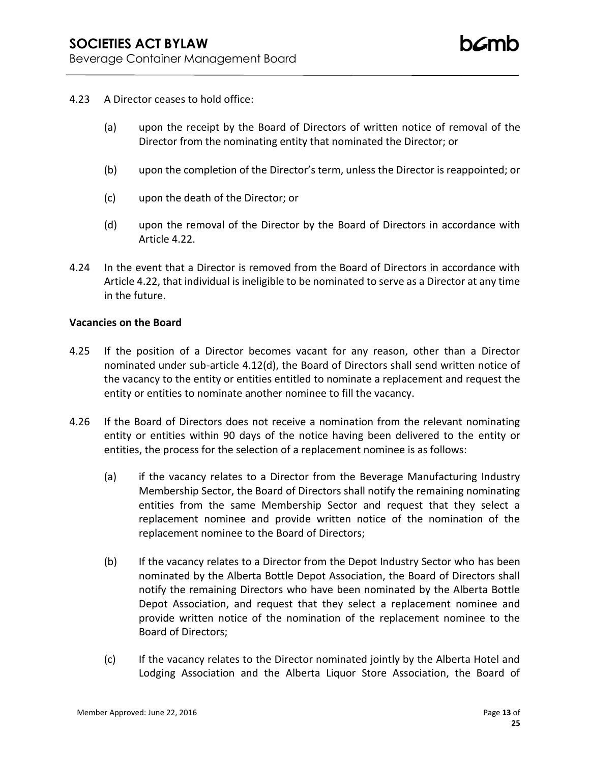- 4.23 A Director ceases to hold office:
	- (a) upon the receipt by the Board of Directors of written notice of removal of the Director from the nominating entity that nominated the Director; or
	- (b) upon the completion of the Director's term, unless the Director is reappointed; or
	- (c) upon the death of the Director; or
	- (d) upon the removal of the Director by the Board of Directors in accordance with Article 4.22.
- 4.24 In the event that a Director is removed from the Board of Directors in accordance with Article 4.22, that individual is ineligible to be nominated to serve as a Director at any time in the future.

### **Vacancies on the Board**

- 4.25 If the position of a Director becomes vacant for any reason, other than a Director nominated under sub-article 4.12(d), the Board of Directors shall send written notice of the vacancy to the entity or entities entitled to nominate a replacement and request the entity or entities to nominate another nominee to fill the vacancy.
- 4.26 If the Board of Directors does not receive a nomination from the relevant nominating entity or entities within 90 days of the notice having been delivered to the entity or entities, the process for the selection of a replacement nominee is as follows:
	- (a) if the vacancy relates to a Director from the Beverage Manufacturing Industry Membership Sector, the Board of Directors shall notify the remaining nominating entities from the same Membership Sector and request that they select a replacement nominee and provide written notice of the nomination of the replacement nominee to the Board of Directors;
	- (b) If the vacancy relates to a Director from the Depot Industry Sector who has been nominated by the Alberta Bottle Depot Association, the Board of Directors shall notify the remaining Directors who have been nominated by the Alberta Bottle Depot Association, and request that they select a replacement nominee and provide written notice of the nomination of the replacement nominee to the Board of Directors;
	- (c) If the vacancy relates to the Director nominated jointly by the Alberta Hotel and Lodging Association and the Alberta Liquor Store Association, the Board of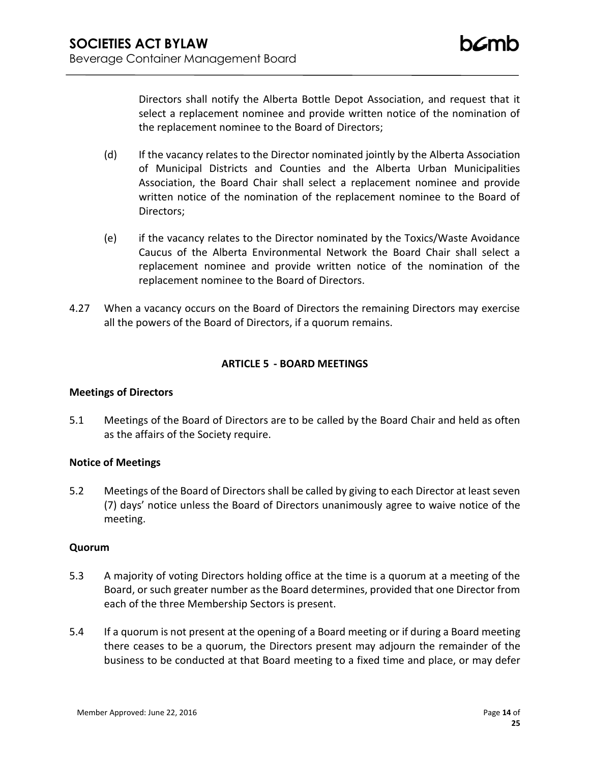Directors shall notify the Alberta Bottle Depot Association, and request that it select a replacement nominee and provide written notice of the nomination of the replacement nominee to the Board of Directors;

- (d) If the vacancy relates to the Director nominated jointly by the Alberta Association of Municipal Districts and Counties and the Alberta Urban Municipalities Association, the Board Chair shall select a replacement nominee and provide written notice of the nomination of the replacement nominee to the Board of Directors;
- (e) if the vacancy relates to the Director nominated by the Toxics/Waste Avoidance Caucus of the Alberta Environmental Network the Board Chair shall select a replacement nominee and provide written notice of the nomination of the replacement nominee to the Board of Directors.
- 4.27 When a vacancy occurs on the Board of Directors the remaining Directors may exercise all the powers of the Board of Directors, if a quorum remains.

# **ARTICLE 5 - BOARD MEETINGS**

# **Meetings of Directors**

5.1 Meetings of the Board of Directors are to be called by the Board Chair and held as often as the affairs of the Society require.

# **Notice of Meetings**

5.2 Meetings of the Board of Directors shall be called by giving to each Director at least seven (7) days' notice unless the Board of Directors unanimously agree to waive notice of the meeting.

# **Quorum**

- 5.3 A majority of voting Directors holding office at the time is a quorum at a meeting of the Board, or such greater number as the Board determines, provided that one Director from each of the three Membership Sectors is present.
- 5.4 If a quorum is not present at the opening of a Board meeting or if during a Board meeting there ceases to be a quorum, the Directors present may adjourn the remainder of the business to be conducted at that Board meeting to a fixed time and place, or may defer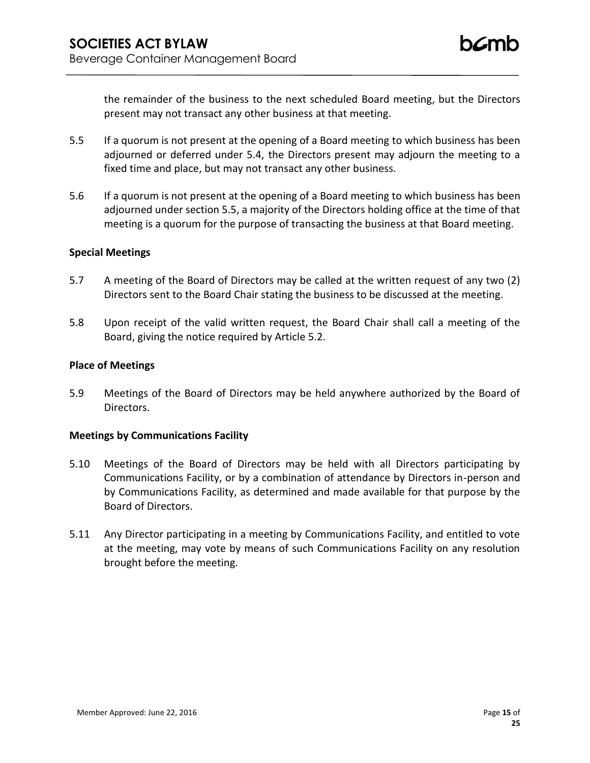the remainder of the business to the next scheduled Board meeting, but the Directors present may not transact any other business at that meeting.

- 5.5 If a quorum is not present at the opening of a Board meeting to which business has been adjourned or deferred under 5.4, the Directors present may adjourn the meeting to a fixed time and place, but may not transact any other business.
- 5.6 If a quorum is not present at the opening of a Board meeting to which business has been adjourned under section 5.5, a majority of the Directors holding office at the time of that meeting is a quorum for the purpose of transacting the business at that Board meeting.

## **Special Meetings**

- 5.7 A meeting of the Board of Directors may be called at the written request of any two (2) Directors sent to the Board Chair stating the business to be discussed at the meeting.
- 5.8 Upon receipt of the valid written request, the Board Chair shall call a meeting of the Board, giving the notice required by Article 5.2.

## **Place of Meetings**

5.9 Meetings of the Board of Directors may be held anywhere authorized by the Board of Directors.

### **Meetings by Communications Facility**

- 5.10 Meetings of the Board of Directors may be held with all Directors participating by Communications Facility, or by a combination of attendance by Directors in-person and by Communications Facility, as determined and made available for that purpose by the Board of Directors.
- 5.11 Any Director participating in a meeting by Communications Facility, and entitled to vote at the meeting, may vote by means of such Communications Facility on any resolution brought before the meeting.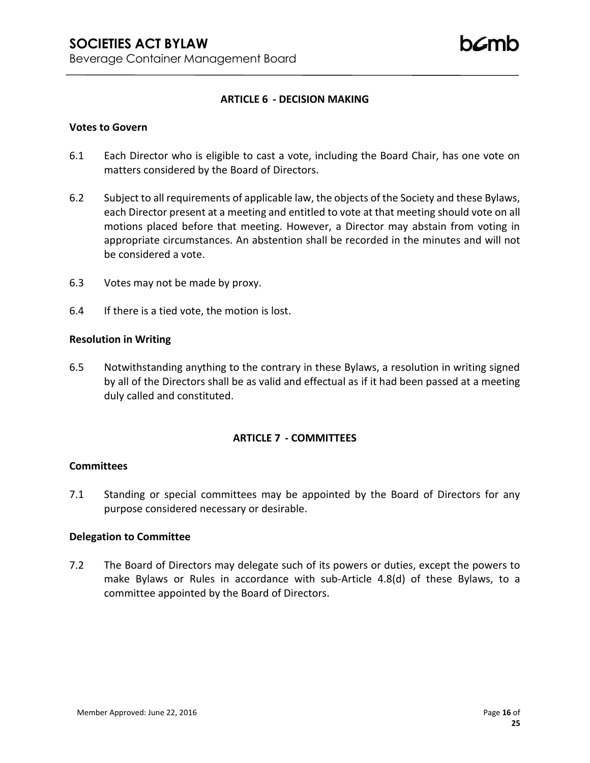## **ARTICLE 6 - DECISION MAKING**

### **Votes to Govern**

- 6.1 Each Director who is eligible to cast a vote, including the Board Chair, has one vote on matters considered by the Board of Directors.
- 6.2 Subject to all requirements of applicable law, the objects of the Society and these Bylaws, each Director present at a meeting and entitled to vote at that meeting should vote on all motions placed before that meeting. However, a Director may abstain from voting in appropriate circumstances. An abstention shall be recorded in the minutes and will not be considered a vote.
- 6.3 Votes may not be made by proxy.
- 6.4 If there is a tied vote, the motion is lost.

### **Resolution in Writing**

6.5 Notwithstanding anything to the contrary in these Bylaws, a resolution in writing signed by all of the Directors shall be as valid and effectual as if it had been passed at a meeting duly called and constituted.

### **ARTICLE 7 - COMMITTEES**

### **Committees**

7.1 Standing or special committees may be appointed by the Board of Directors for any purpose considered necessary or desirable.

### **Delegation to Committee**

7.2 The Board of Directors may delegate such of its powers or duties, except the powers to make Bylaws or Rules in accordance with sub-Article 4.8(d) of these Bylaws, to a committee appointed by the Board of Directors.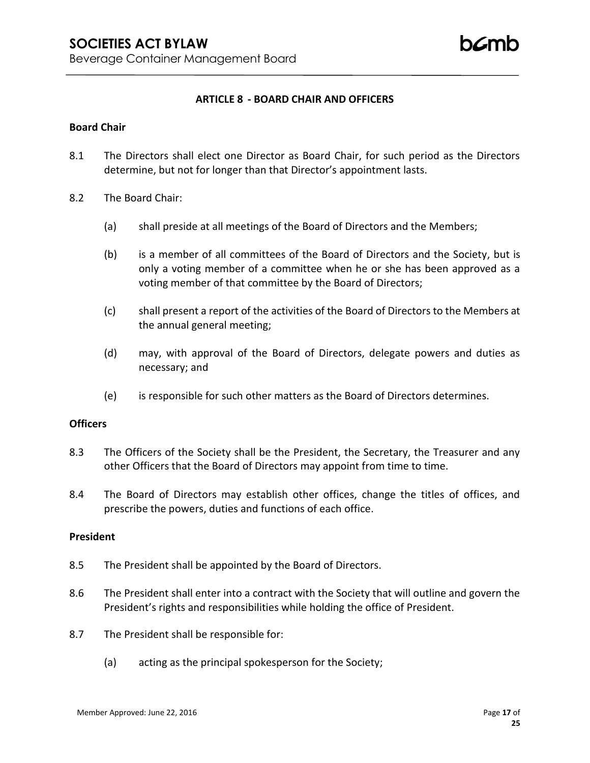## **ARTICLE 8 - BOARD CHAIR AND OFFICERS**

### **Board Chair**

- 8.1 The Directors shall elect one Director as Board Chair, for such period as the Directors determine, but not for longer than that Director's appointment lasts.
- 8.2 The Board Chair:
	- (a) shall preside at all meetings of the Board of Directors and the Members;
	- (b) is a member of all committees of the Board of Directors and the Society, but is only a voting member of a committee when he or she has been approved as a voting member of that committee by the Board of Directors;
	- (c) shall present a report of the activities of the Board of Directors to the Members at the annual general meeting;
	- (d) may, with approval of the Board of Directors, delegate powers and duties as necessary; and
	- (e) is responsible for such other matters as the Board of Directors determines.

## **Officers**

- 8.3 The Officers of the Society shall be the President, the Secretary, the Treasurer and any other Officers that the Board of Directors may appoint from time to time.
- 8.4 The Board of Directors may establish other offices, change the titles of offices, and prescribe the powers, duties and functions of each office.

### **President**

- 8.5 The President shall be appointed by the Board of Directors.
- 8.6 The President shall enter into a contract with the Society that will outline and govern the President's rights and responsibilities while holding the office of President.
- 8.7 The President shall be responsible for:
	- (a) acting as the principal spokesperson for the Society;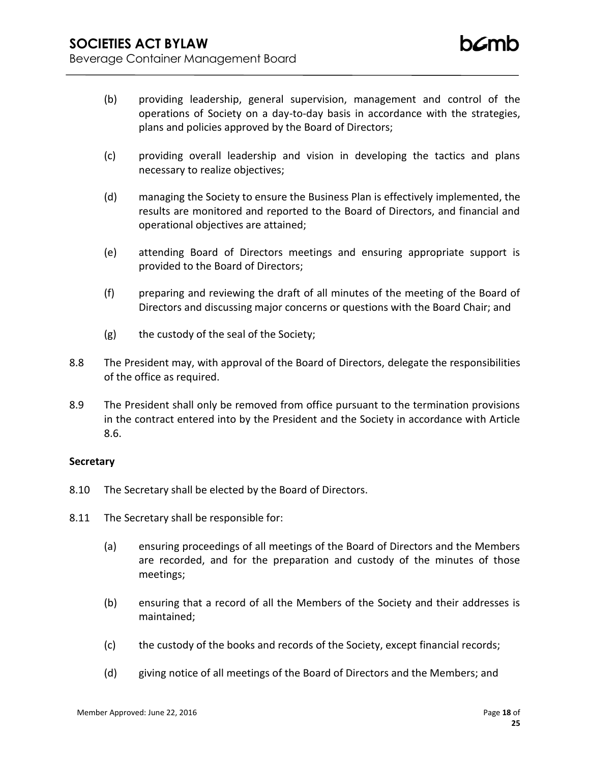- (b) providing leadership, general supervision, management and control of the operations of Society on a day-to-day basis in accordance with the strategies, plans and policies approved by the Board of Directors;
- (c) providing overall leadership and vision in developing the tactics and plans necessary to realize objectives;
- (d) managing the Society to ensure the Business Plan is effectively implemented, the results are monitored and reported to the Board of Directors, and financial and operational objectives are attained;
- (e) attending Board of Directors meetings and ensuring appropriate support is provided to the Board of Directors;
- (f) preparing and reviewing the draft of all minutes of the meeting of the Board of Directors and discussing major concerns or questions with the Board Chair; and
- (g) the custody of the seal of the Society;
- 8.8 The President may, with approval of the Board of Directors, delegate the responsibilities of the office as required.
- 8.9 The President shall only be removed from office pursuant to the termination provisions in the contract entered into by the President and the Society in accordance with Article 8.6.

# **Secretary**

- 8.10 The Secretary shall be elected by the Board of Directors.
- 8.11 The Secretary shall be responsible for:
	- (a) ensuring proceedings of all meetings of the Board of Directors and the Members are recorded, and for the preparation and custody of the minutes of those meetings;
	- (b) ensuring that a record of all the Members of the Society and their addresses is maintained;
	- (c) the custody of the books and records of the Society, except financial records;
	- (d) giving notice of all meetings of the Board of Directors and the Members; and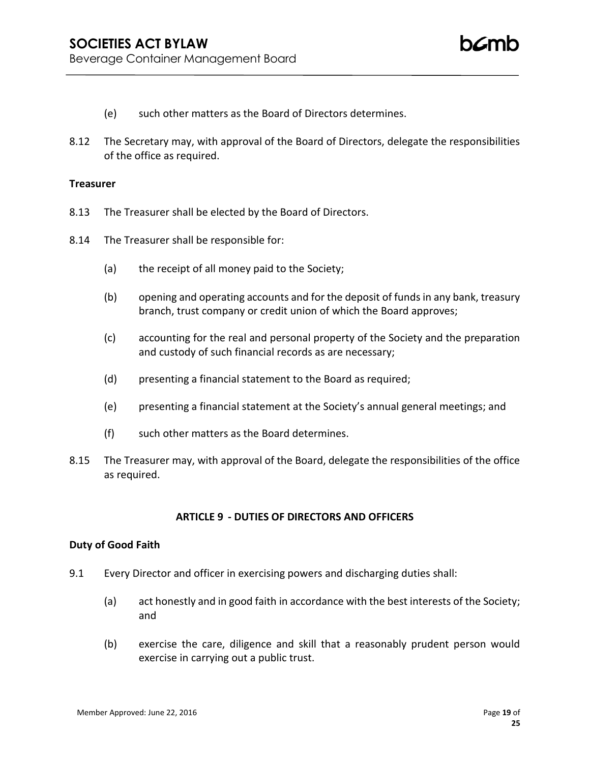- (e) such other matters as the Board of Directors determines.
- 8.12 The Secretary may, with approval of the Board of Directors, delegate the responsibilities of the office as required.

#### **Treasurer**

- 8.13 The Treasurer shall be elected by the Board of Directors.
- 8.14 The Treasurer shall be responsible for:
	- (a) the receipt of all money paid to the Society;
	- (b) opening and operating accounts and for the deposit of funds in any bank, treasury branch, trust company or credit union of which the Board approves;
	- (c) accounting for the real and personal property of the Society and the preparation and custody of such financial records as are necessary;
	- (d) presenting a financial statement to the Board as required;
	- (e) presenting a financial statement at the Society's annual general meetings; and
	- (f) such other matters as the Board determines.
- 8.15 The Treasurer may, with approval of the Board, delegate the responsibilities of the office as required.

### **ARTICLE 9 - DUTIES OF DIRECTORS AND OFFICERS**

### **Duty of Good Faith**

- 9.1 Every Director and officer in exercising powers and discharging duties shall:
	- (a) act honestly and in good faith in accordance with the best interests of the Society; and
	- (b) exercise the care, diligence and skill that a reasonably prudent person would exercise in carrying out a public trust.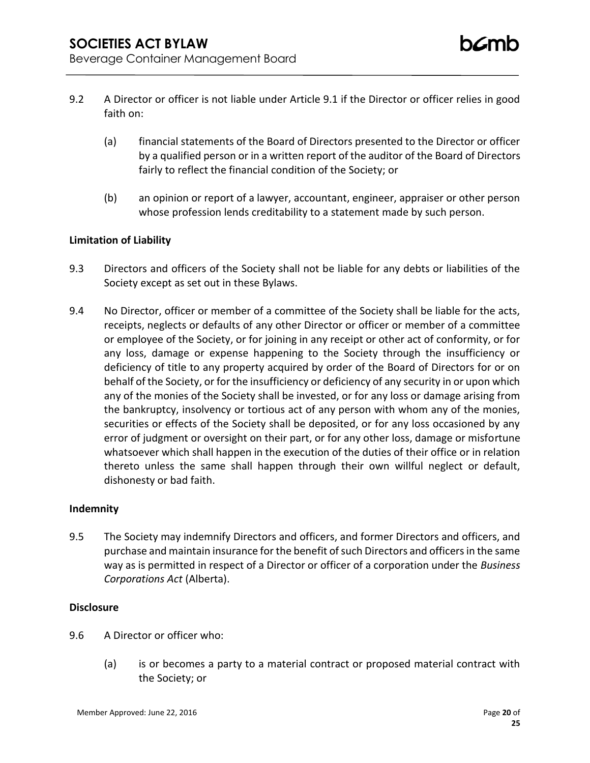- 9.2 A Director or officer is not liable under Article 9.1 if the Director or officer relies in good faith on:
	- (a) financial statements of the Board of Directors presented to the Director or officer by a qualified person or in a written report of the auditor of the Board of Directors fairly to reflect the financial condition of the Society; or
	- (b) an opinion or report of a lawyer, accountant, engineer, appraiser or other person whose profession lends creditability to a statement made by such person.

# **Limitation of Liability**

- 9.3 Directors and officers of the Society shall not be liable for any debts or liabilities of the Society except as set out in these Bylaws.
- 9.4 No Director, officer or member of a committee of the Society shall be liable for the acts, receipts, neglects or defaults of any other Director or officer or member of a committee or employee of the Society, or for joining in any receipt or other act of conformity, or for any loss, damage or expense happening to the Society through the insufficiency or deficiency of title to any property acquired by order of the Board of Directors for or on behalf of the Society, or for the insufficiency or deficiency of any security in or upon which any of the monies of the Society shall be invested, or for any loss or damage arising from the bankruptcy, insolvency or tortious act of any person with whom any of the monies, securities or effects of the Society shall be deposited, or for any loss occasioned by any error of judgment or oversight on their part, or for any other loss, damage or misfortune whatsoever which shall happen in the execution of the duties of their office or in relation thereto unless the same shall happen through their own willful neglect or default, dishonesty or bad faith.

# **Indemnity**

9.5 The Society may indemnify Directors and officers, and former Directors and officers, and purchase and maintain insurance for the benefit of such Directors and officers in the same way as is permitted in respect of a Director or officer of a corporation under the *Business Corporations Act* (Alberta).

# **Disclosure**

- 9.6 A Director or officer who:
	- (a) is or becomes a party to a material contract or proposed material contract with the Society; or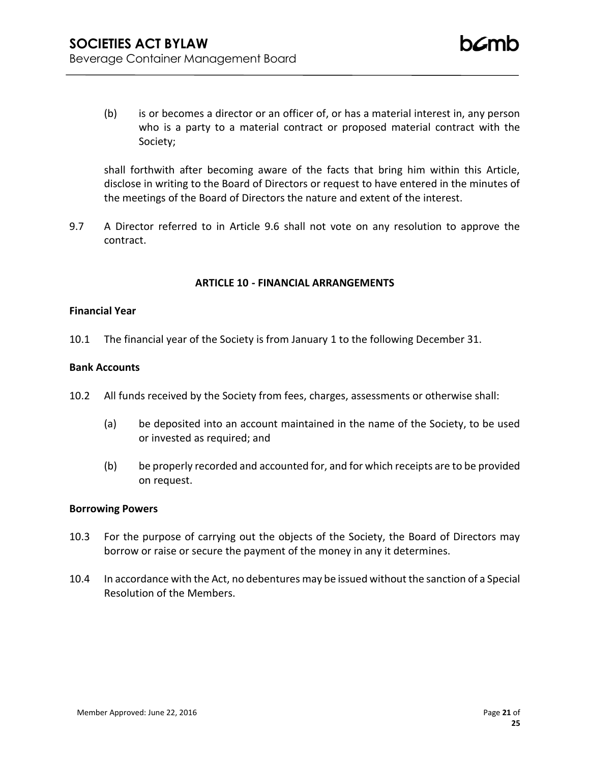(b) is or becomes a director or an officer of, or has a material interest in, any person who is a party to a material contract or proposed material contract with the Society;

shall forthwith after becoming aware of the facts that bring him within this Article, disclose in writing to the Board of Directors or request to have entered in the minutes of the meetings of the Board of Directors the nature and extent of the interest.

9.7 A Director referred to in Article 9.6 shall not vote on any resolution to approve the contract.

# **ARTICLE 10 - FINANCIAL ARRANGEMENTS**

### **Financial Year**

10.1 The financial year of the Society is from January 1 to the following December 31.

### **Bank Accounts**

- 10.2 All funds received by the Society from fees, charges, assessments or otherwise shall:
	- (a) be deposited into an account maintained in the name of the Society, to be used or invested as required; and
	- (b) be properly recorded and accounted for, and for which receipts are to be provided on request.

### **Borrowing Powers**

- 10.3 For the purpose of carrying out the objects of the Society, the Board of Directors may borrow or raise or secure the payment of the money in any it determines.
- 10.4 In accordance with the Act, no debentures may be issued without the sanction of a Special Resolution of the Members.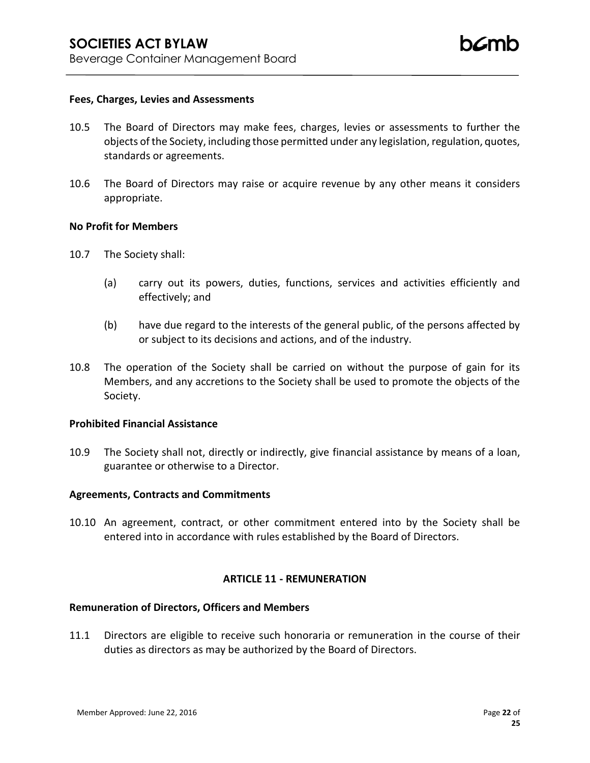### **Fees, Charges, Levies and Assessments**

- 10.5 The Board of Directors may make fees, charges, levies or assessments to further the objects of the Society, including those permitted under any legislation, regulation, quotes, standards or agreements.
- 10.6 The Board of Directors may raise or acquire revenue by any other means it considers appropriate.

#### **No Profit for Members**

- 10.7 The Society shall:
	- (a) carry out its powers, duties, functions, services and activities efficiently and effectively; and
	- (b) have due regard to the interests of the general public, of the persons affected by or subject to its decisions and actions, and of the industry.
- 10.8 The operation of the Society shall be carried on without the purpose of gain for its Members, and any accretions to the Society shall be used to promote the objects of the Society.

## **Prohibited Financial Assistance**

10.9 The Society shall not, directly or indirectly, give financial assistance by means of a loan, guarantee or otherwise to a Director.

## **Agreements, Contracts and Commitments**

10.10 An agreement, contract, or other commitment entered into by the Society shall be entered into in accordance with rules established by the Board of Directors.

### **ARTICLE 11 - REMUNERATION**

#### **Remuneration of Directors, Officers and Members**

11.1 Directors are eligible to receive such honoraria or remuneration in the course of their duties as directors as may be authorized by the Board of Directors.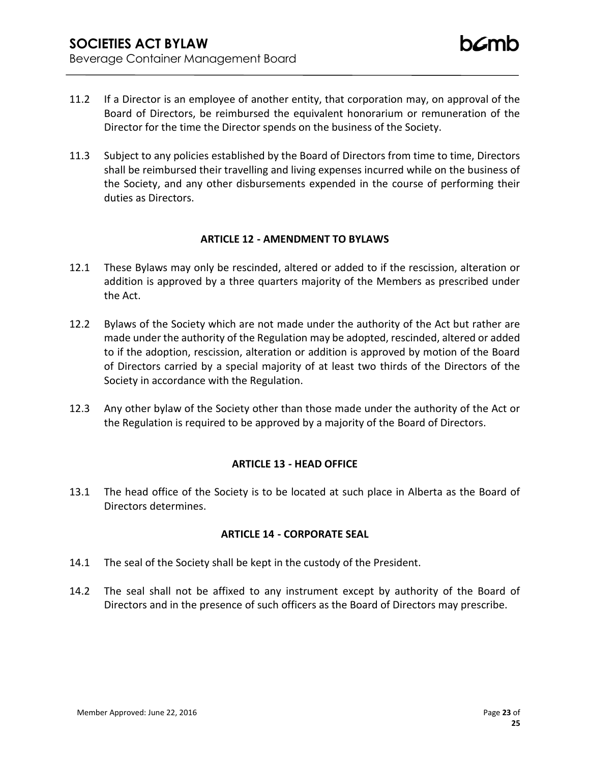- 11.2 If a Director is an employee of another entity, that corporation may, on approval of the Board of Directors, be reimbursed the equivalent honorarium or remuneration of the Director for the time the Director spends on the business of the Society.
- 11.3 Subject to any policies established by the Board of Directors from time to time, Directors shall be reimbursed their travelling and living expenses incurred while on the business of the Society, and any other disbursements expended in the course of performing their duties as Directors.

# **ARTICLE 12 - AMENDMENT TO BYLAWS**

- 12.1 These Bylaws may only be rescinded, altered or added to if the rescission, alteration or addition is approved by a three quarters majority of the Members as prescribed under the Act.
- 12.2 Bylaws of the Society which are not made under the authority of the Act but rather are made under the authority of the Regulation may be adopted, rescinded, altered or added to if the adoption, rescission, alteration or addition is approved by motion of the Board of Directors carried by a special majority of at least two thirds of the Directors of the Society in accordance with the Regulation.
- 12.3 Any other bylaw of the Society other than those made under the authority of the Act or the Regulation is required to be approved by a majority of the Board of Directors.

# **ARTICLE 13 - HEAD OFFICE**

13.1 The head office of the Society is to be located at such place in Alberta as the Board of Directors determines.

# **ARTICLE 14 - CORPORATE SEAL**

- 14.1 The seal of the Society shall be kept in the custody of the President.
- 14.2 The seal shall not be affixed to any instrument except by authority of the Board of Directors and in the presence of such officers as the Board of Directors may prescribe.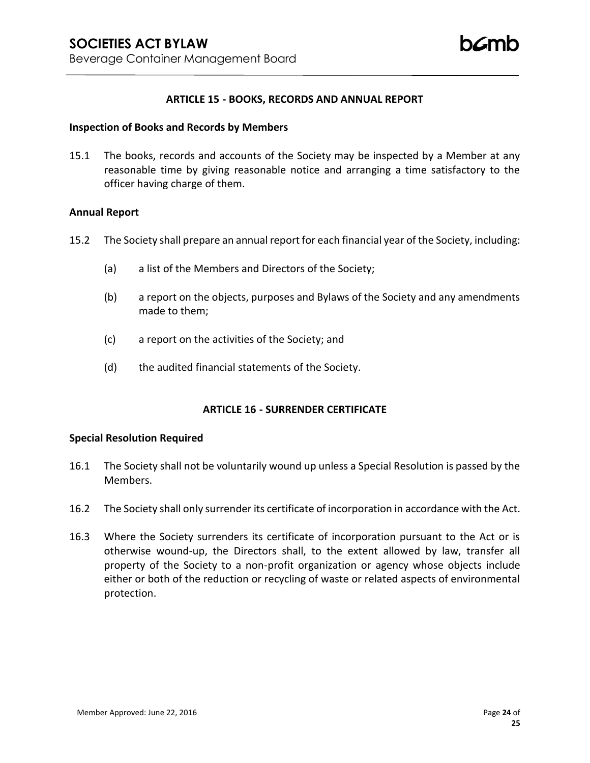### **ARTICLE 15 - BOOKS, RECORDS AND ANNUAL REPORT**

#### **Inspection of Books and Records by Members**

15.1 The books, records and accounts of the Society may be inspected by a Member at any reasonable time by giving reasonable notice and arranging a time satisfactory to the officer having charge of them.

### **Annual Report**

- 15.2 The Society shall prepare an annual report for each financial year of the Society, including:
	- (a) a list of the Members and Directors of the Society;
	- (b) a report on the objects, purposes and Bylaws of the Society and any amendments made to them;
	- (c) a report on the activities of the Society; and
	- (d) the audited financial statements of the Society.

### **ARTICLE 16 - SURRENDER CERTIFICATE**

### **Special Resolution Required**

- 16.1 The Society shall not be voluntarily wound up unless a Special Resolution is passed by the Members.
- 16.2 The Society shall only surrender its certificate of incorporation in accordance with the Act.
- 16.3 Where the Society surrenders its certificate of incorporation pursuant to the Act or is otherwise wound-up, the Directors shall, to the extent allowed by law, transfer all property of the Society to a non-profit organization or agency whose objects include either or both of the reduction or recycling of waste or related aspects of environmental protection.